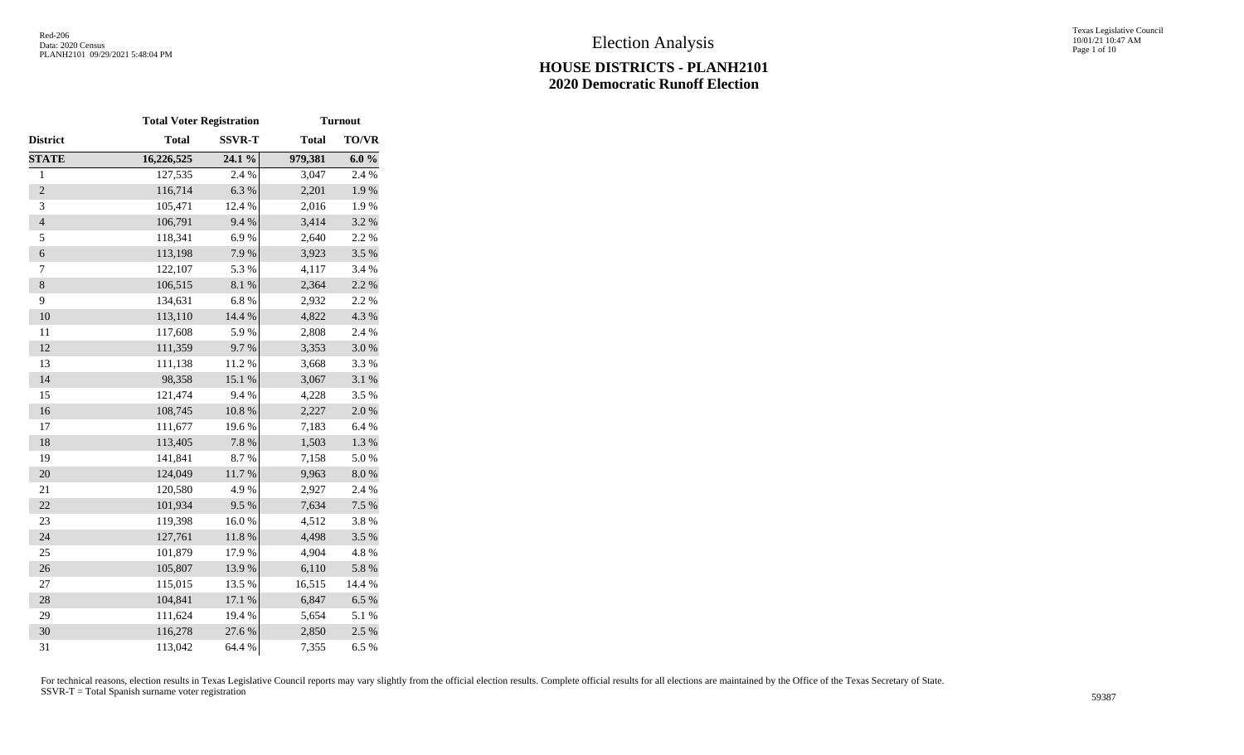|                | <b>Total Voter Registration</b> |               | <b>Turnout</b> |           |  |  |
|----------------|---------------------------------|---------------|----------------|-----------|--|--|
| District       | <b>Total</b>                    | <b>SSVR-T</b> | <b>Total</b>   | TO/VR     |  |  |
| <b>STATE</b>   | 16,226,525                      | 24.1 %        | 979,381        | 6.0%      |  |  |
| $\,1$          | 127,535                         | 2.4 %         | 3,047          | 2.4 %     |  |  |
| $\overline{2}$ | 116,714                         | 6.3%          | 2,201          | 1.9%      |  |  |
| 3              | 105,471                         | 12.4 %        | 2,016          | 1.9%      |  |  |
| $\overline{4}$ | 106,791                         | 9.4%          | 3,414          | 3.2 %     |  |  |
| 5              | 118,341                         | 6.9%          | 2,640          | 2.2 %     |  |  |
| $\epsilon$     | 113,198                         | 7.9%          | 3,923          | 3.5 %     |  |  |
| 7              | 122,107                         | 5.3 %         | 4,117          | 3.4 %     |  |  |
| 8              | 106,515                         | 8.1 %         | 2,364          | 2.2 %     |  |  |
| 9              | 134,631                         | $6.8~\%$      | 2,932          | 2.2 %     |  |  |
| 10             | 113,110                         | 14.4 %        | 4,822          | 4.3 %     |  |  |
| 11             | 117,608                         | 5.9%          | 2,808          | 2.4 %     |  |  |
| 12             | 111,359                         | 9.7%          | 3,353          | $3.0\ \%$ |  |  |
| 13             | 111,138                         | 11.2%         | 3,668          | 3.3%      |  |  |
| 14             | 98,358                          | 15.1 %        | 3,067          | 3.1 %     |  |  |
| 15             | 121,474                         | 9.4%          | 4,228          | 3.5%      |  |  |
| 16             | 108,745                         | $10.8~\%$     | 2,227          | $2.0\ \%$ |  |  |
| 17             | 111,677                         | 19.6%         | 7,183          | 6.4%      |  |  |
| 18             | 113,405                         | $7.8~\%$      | 1,503          | 1.3 %     |  |  |
| 19             | 141,841                         | 8.7%          | 7,158          | 5.0%      |  |  |
| 20             | 124,049                         | $11.7\ \%$    | 9,963          | $8.0\ \%$ |  |  |
| 21             | 120,580                         | 4.9%          | 2,927          | 2.4 %     |  |  |
| 22             | 101,934                         | 9.5%          | 7,634          | 7.5 %     |  |  |
| 23             | 119,398                         | 16.0%         | 4,512          | 3.8%      |  |  |
| 24             | 127,761                         | 11.8 %        | 4,498          | 3.5%      |  |  |
| 25             | 101,879                         | 17.9%         | 4,904          | 4.8 %     |  |  |
| 26             | 105,807                         | 13.9%         | 6,110          | 5.8 %     |  |  |
| $27\,$         | 115,015                         | 13.5 %        | 16,515         | 14.4 %    |  |  |
| 28             | 104,841                         | 17.1 %        | 6,847          | 6.5%      |  |  |
| 29             | 111,624                         | 19.4 %        | 5,654          | 5.1 %     |  |  |
| 30             | 116,278                         | 27.6%         | 2,850          | 2.5 %     |  |  |
| 31             | 113,042                         | 64.4 %        | 7,355          | 6.5%      |  |  |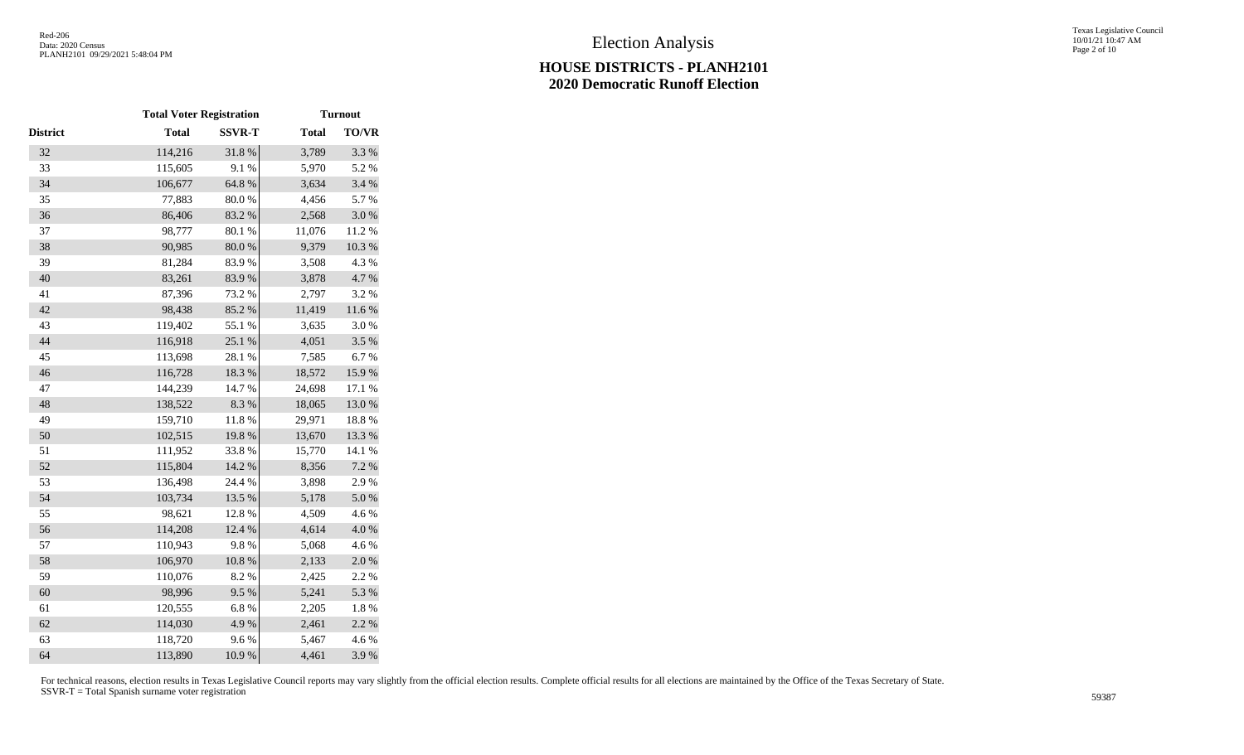|                 | <b>Total Voter Registration</b> |               | <b>Turnout</b> |              |  |
|-----------------|---------------------------------|---------------|----------------|--------------|--|
| <b>District</b> | <b>Total</b>                    | <b>SSVR-T</b> | <b>Total</b>   | <b>TO/VR</b> |  |
| 32              | 114,216                         | 31.8%         | 3,789          | 3.3 %        |  |
| 33              | 115,605                         | 9.1%          | 5,970          | 5.2 %        |  |
| 34              | 106,677                         | 64.8 %        | 3,634          | 3.4 %        |  |
| 35              | 77,883                          | $80.0\ \%$    | 4,456          | 5.7%         |  |
| 36              | 86,406                          | 83.2%         | 2,568          | 3.0%         |  |
| 37              | 98,777                          | 80.1 %        | 11,076         | 11.2%        |  |
| 38              | 90,985                          | $80.0\ \%$    | 9,379          | $10.3~\%$    |  |
| 39              | 81,284                          | 83.9%         | 3,508          | 4.3 %        |  |
| 40              | 83,261                          | 83.9%         | 3,878          | 4.7%         |  |
| 41              | 87,396                          | 73.2 %        | 2,797          | 3.2%         |  |
| 42              | 98,438                          | 85.2%         | 11,419         | $11.6\ \%$   |  |
| 43              | 119,402                         | 55.1 %        | 3,635          | 3.0%         |  |
| 44              | 116,918                         | 25.1 %        | 4,051          | 3.5 %        |  |
| 45              | 113,698                         | 28.1 %        | 7,585          | 6.7%         |  |
| 46              | 116,728                         | 18.3 %        | 18,572         | 15.9%        |  |
| 47              | 144,239                         | 14.7 %        | 24,698         | 17.1 %       |  |
| 48              | 138,522                         | 8.3 %         | 18,065         | 13.0%        |  |
| 49              | 159,710                         | 11.8 %        | 29,971         | 18.8 %       |  |
| 50              | 102,515                         | 19.8%         | 13,670         | 13.3 %       |  |
| 51              | 111,952                         | 33.8%         | 15,770         | 14.1 %       |  |
| 52              | 115,804                         | 14.2 %        | 8,356          | 7.2 %        |  |
| 53              | 136,498                         | 24.4 %        | 3,898          | 2.9%         |  |
| 54              | 103,734                         | 13.5 %        | 5,178          | 5.0%         |  |
| 55              | 98,621                          | 12.8 %        | 4,509          | 4.6%         |  |
| 56              | 114,208                         | 12.4 %        | 4,614          | $4.0\ \%$    |  |
| 57              | 110,943                         | 9.8%          | 5,068          | 4.6%         |  |
| 58              | 106,970                         | $10.8~\%$     | 2,133          | $2.0\ \%$    |  |
| 59              | 110,076                         | 8.2%          | 2,425          | 2.2 %        |  |
| 60              | 98,996                          | 9.5%          | 5,241          | 5.3 %        |  |
| 61              | 120,555                         | 6.8%          | 2,205          | $1.8\ \%$    |  |
| 62              | 114,030                         | 4.9%          | 2,461          | 2.2 %        |  |
| 63              | 118,720                         | 9.6%          | 5,467          | 4.6%         |  |
| 64              | 113,890                         | 10.9%         | 4,461          | 3.9%         |  |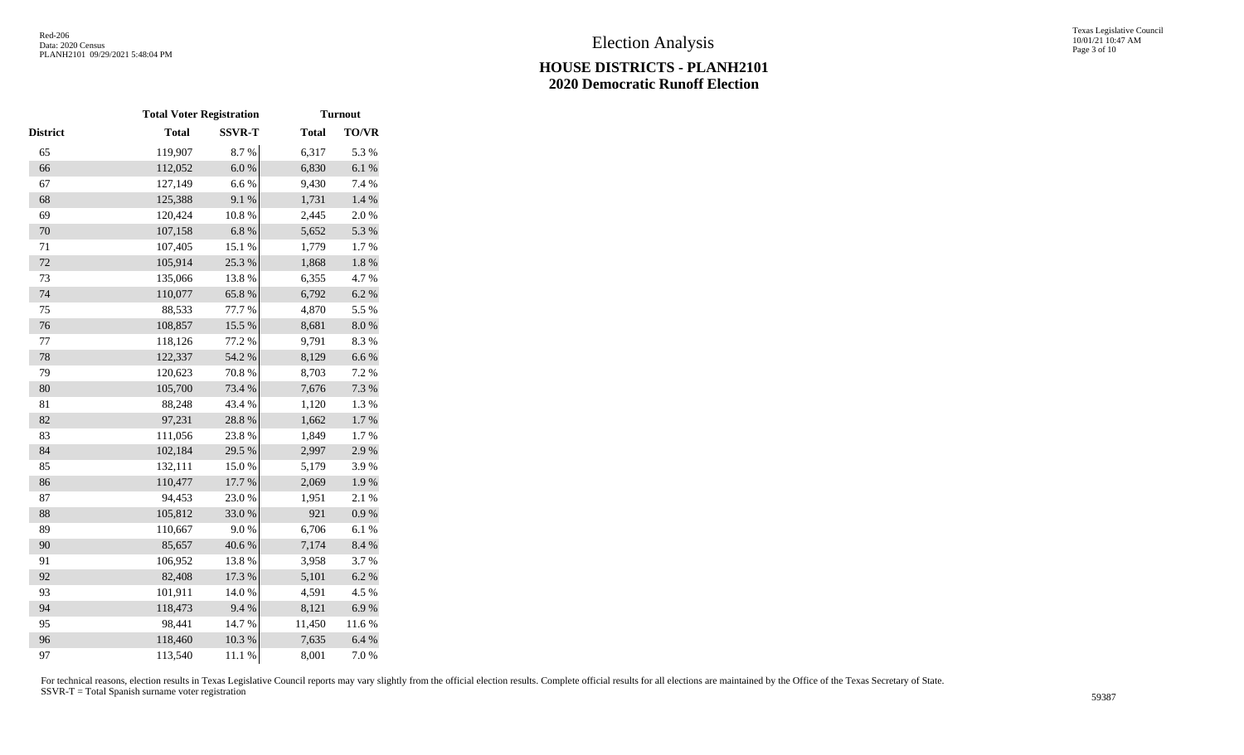|          | <b>Total Voter Registration</b> |               |              | <b>Turnout</b> |
|----------|---------------------------------|---------------|--------------|----------------|
| District | <b>Total</b>                    | <b>SSVR-T</b> | <b>Total</b> | <b>TO/VR</b>   |
| 65       | 119,907                         | 8.7%          | 6,317        | 5.3 %          |
| 66       | 112,052                         | $6.0~\%$      | 6,830        | 6.1%           |
| 67       | 127,149                         | $6.6\ \%$     | 9,430        | 7.4 %          |
| 68       | 125,388                         | 9.1 %         | 1,731        | $1.4~\%$       |
| 69       | 120,424                         | $10.8~\%$     | 2,445        | 2.0%           |
| 70       | 107,158                         | 6.8%          | 5,652        | 5.3 %          |
| $71\,$   | 107,405                         | 15.1 %        | 1,779        | 1.7%           |
| $72\,$   | 105,914                         | 25.3 %        | 1,868        | $1.8~\%$       |
| 73       | 135,066                         | 13.8 %        | 6,355        | 4.7%           |
| 74       | 110,077                         | 65.8%         | 6,792        | 6.2 %          |
| 75       | 88,533                          | 77.7 %        | 4,870        | 5.5 %          |
| 76       | 108,857                         | 15.5 %        | 8,681        | $8.0\ \%$      |
| 77       | 118,126                         | 77.2 %        | 9,791        | 8.3%           |
| 78       | 122,337                         | 54.2 %        | 8,129        | 6.6%           |
| 79       | 120,623                         | 70.8 %        | 8,703        | 7.2 %          |
| 80       | 105,700                         | 73.4 %        | 7,676        | 7.3 %          |
| 81       | 88,248                          | 43.4 %        | 1,120        | 1.3 %          |
| 82       | 97,231                          | 28.8 %        | 1,662        | 1.7%           |
| 83       | 111,056                         | 23.8%         | 1,849        | 1.7%           |
| 84       | 102,184                         | 29.5 %        | 2,997        | 2.9%           |
| 85       | 132,111                         | 15.0%         | 5,179        | 3.9%           |
| 86       | 110,477                         | 17.7 %        | 2,069        | 1.9%           |
| 87       | 94,453                          | 23.0%         | 1,951        | 2.1 %          |
| 88       | 105,812                         | 33.0%         | 921          | $0.9~\%$       |
| 89       | 110,667                         | 9.0%          | 6,706        | 6.1%           |
| 90       | 85,657                          | 40.6%         | 7,174        | 8.4%           |
| 91       | 106,952                         | 13.8%         | 3,958        | 3.7%           |
| 92       | 82,408                          | 17.3 %        | 5,101        | 6.2 %          |
| 93       | 101,911                         | 14.0 %        | 4,591        | 4.5 %          |
| 94       | 118,473                         | 9.4%          | 8,121        | 6.9%           |
| 95       | 98,441                          | 14.7%         | 11,450       | 11.6%          |
| 96       | 118,460                         | 10.3%         | 7,635        | 6.4%           |
| 97       | 113,540                         | 11.1 %        | 8,001        | 7.0%           |
|          |                                 |               |              |                |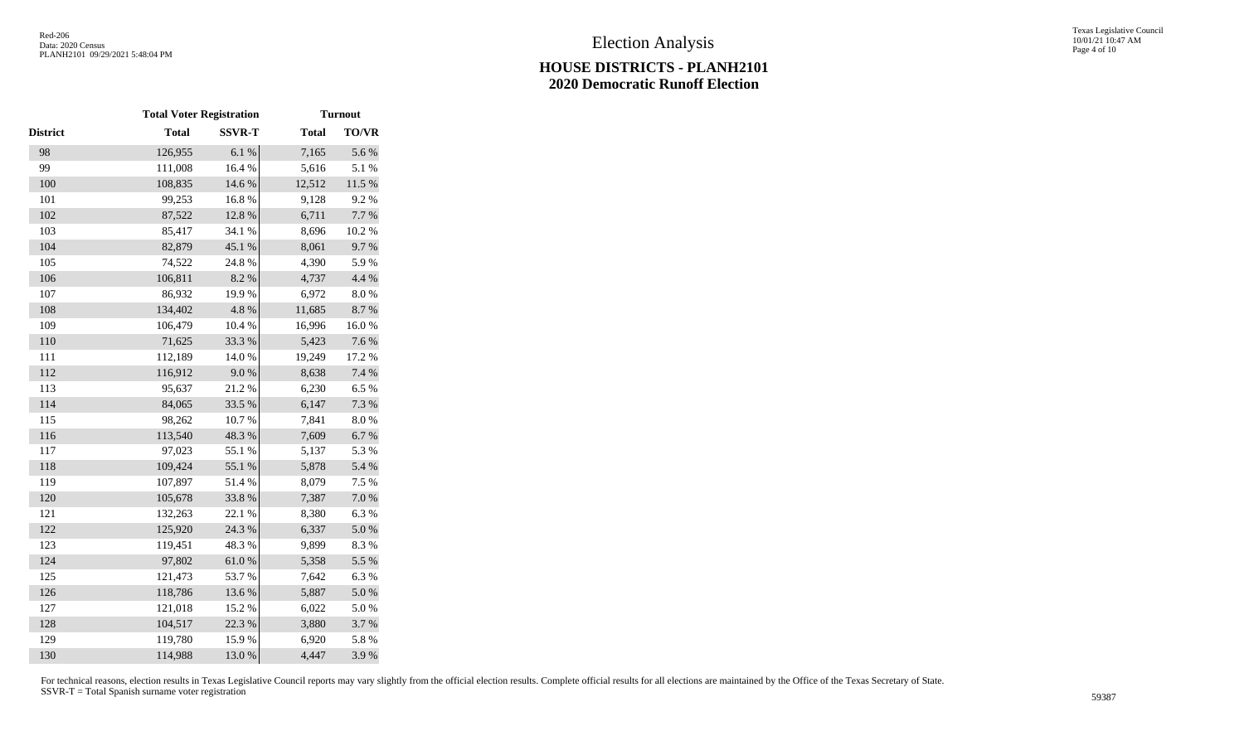|                 | <b>Total Voter Registration</b> |               | <b>Turnout</b> |              |  |
|-----------------|---------------------------------|---------------|----------------|--------------|--|
| <b>District</b> | <b>Total</b>                    | <b>SSVR-T</b> | <b>Total</b>   | <b>TO/VR</b> |  |
| 98              | 126,955                         | 6.1%          | 7,165          | 5.6%         |  |
| 99              | 111,008                         | 16.4 %        | 5,616          | 5.1 %        |  |
| 100             | 108,835                         | 14.6 %        | 12,512         | $11.5~\%$    |  |
| 101             | 99,253                          | 16.8%         | 9,128          | 9.2%         |  |
| 102             | 87,522                          | 12.8%         | 6,711          | 7.7 %        |  |
| 103             | 85,417                          | 34.1 %        | 8,696          | 10.2 %       |  |
| 104             | 82,879                          | 45.1 %        | 8,061          | 9.7%         |  |
| 105             | 74,522                          | 24.8%         | 4,390          | 5.9%         |  |
| 106             | 106,811                         | 8.2 %         | 4,737          | 4.4 %        |  |
| 107             | 86,932                          | 19.9%         | 6,972          | 8.0%         |  |
| 108             | 134,402                         | 4.8%          | 11,685         | 8.7%         |  |
| 109             | 106,479                         | 10.4 %        | 16,996         | 16.0%        |  |
| 110             | 71,625                          | 33.3 %        | 5,423          | 7.6 %        |  |
| 111             | 112,189                         | $14.0\ \%$    | 19,249         | 17.2 %       |  |
| 112             | 116,912                         | $9.0\;\%$     | 8,638          | 7.4 %        |  |
| 113             | 95,637                          | 21.2%         | 6,230          | 6.5 %        |  |
| 114             | 84,065                          | 33.5 %        | 6,147          | 7.3 %        |  |
| 115             | 98,262                          | 10.7%         | 7,841          | $8.0\ \%$    |  |
| 116             | 113,540                         | 48.3%         | 7,609          | 6.7 %        |  |
| 117             | 97,023                          | 55.1 %        | 5,137          | 5.3 %        |  |
| 118             | 109,424                         | 55.1 %        | 5,878          | 5.4 %        |  |
| 119             | 107,897                         | 51.4%         | 8,079          | 7.5 %        |  |
| 120             | 105,678                         | 33.8%         | 7,387          | 7.0%         |  |
| 121             | 132,263                         | 22.1 %        | 8,380          | 6.3%         |  |
| 122             | 125,920                         | 24.3 %        | 6,337          | $5.0\ \%$    |  |
| 123             | 119,451                         | 48.3 %        | 9,899          | 8.3%         |  |
| 124             | 97,802                          | $61.0\ \%$    | 5,358          | 5.5 %        |  |
| 125             | 121,473                         | 53.7%         | 7,642          | 6.3%         |  |
| 126             | 118,786                         | 13.6 %        | 5,887          | 5.0%         |  |
| 127             | 121,018                         | 15.2 %        | 6,022          | 5.0%         |  |
| 128             | 104,517                         | 22.3 %        | 3,880          | 3.7 %        |  |
| 129             | 119,780                         | 15.9%         | 6,920          | 5.8 %        |  |
| 130             | 114,988                         | 13.0%         | 4,447          | 3.9%         |  |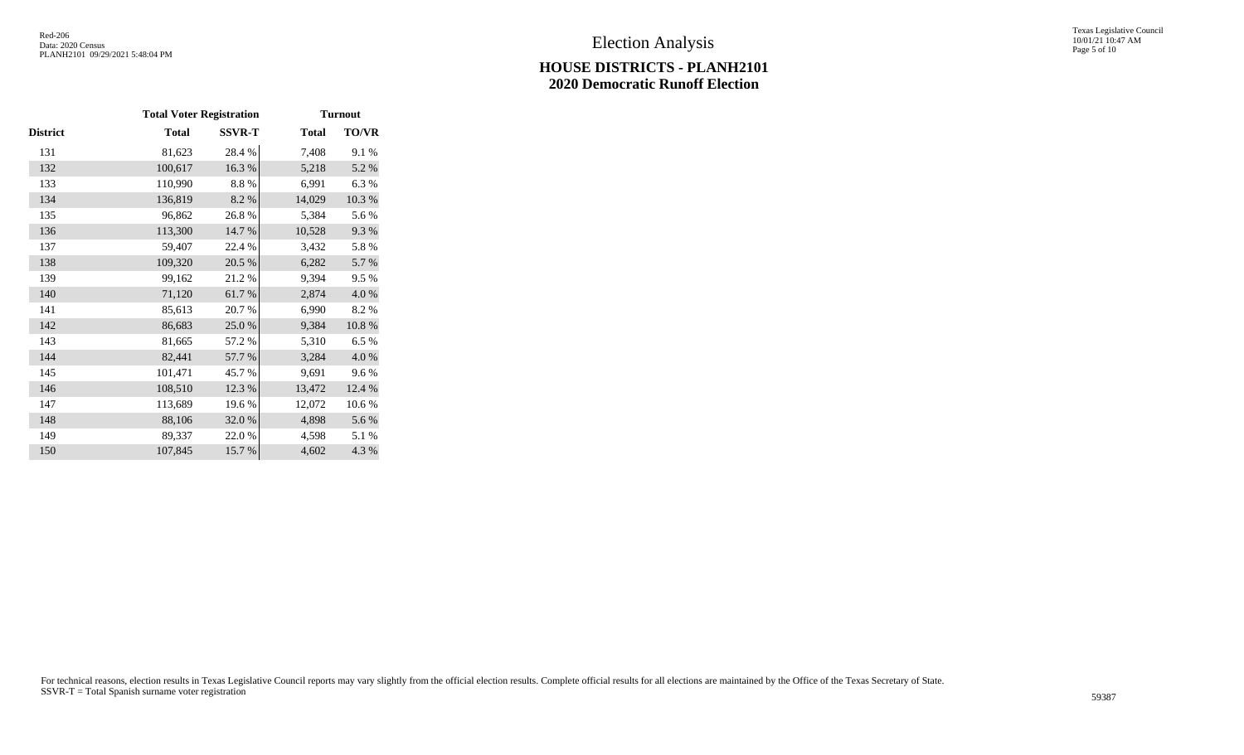|                 | <b>Total Voter Registration</b> | <b>Turnout</b> |              |           |
|-----------------|---------------------------------|----------------|--------------|-----------|
| <b>District</b> | <b>Total</b>                    | <b>SSVR-T</b>  | <b>Total</b> | TO/VR     |
| 131             | 81,623                          | 28.4 %         | 7,408        | 9.1 %     |
| 132             | 100,617                         | 16.3%          | 5,218        | 5.2 %     |
| 133             | 110,990                         | 8.8%           | 6,991        | 6.3%      |
| 134             | 136,819                         | $8.2~\%$       | 14,029       | $10.3~\%$ |
| 135             | 96,862                          | 26.8%          | 5,384        | 5.6%      |
| 136             | 113,300                         | 14.7 %         | 10,528       | 9.3%      |
| 137             | 59,407                          | 22.4 %         | 3,432        | 5.8%      |
| 138             | 109,320                         | 20.5 %         | 6,282        | 5.7 %     |
| 139             | 99,162                          | 21.2%          | 9,394        | 9.5%      |
| 140             | 71,120                          | 61.7%          | 2,874        | 4.0%      |
| 141             | 85,613                          | 20.7%          | 6,990        | 8.2%      |
| 142             | 86,683                          | 25.0%          | 9,384        | 10.8 %    |
| 143             | 81,665                          | 57.2 %         | 5,310        | 6.5%      |
| 144             | 82,441                          | 57.7 %         | 3,284        | 4.0%      |
| 145             | 101,471                         | 45.7%          | 9,691        | 9.6%      |
| 146             | 108,510                         | 12.3 %         | 13,472       | 12.4 %    |
| 147             | 113,689                         | 19.6%          | 12,072       | 10.6%     |
| 148             | 88,106                          | 32.0%          | 4,898        | 5.6%      |
| 149             | 89,337                          | 22.0 %         | 4,598        | 5.1 %     |
| 150             | 107,845                         | 15.7%          | 4,602        | 4.3 %     |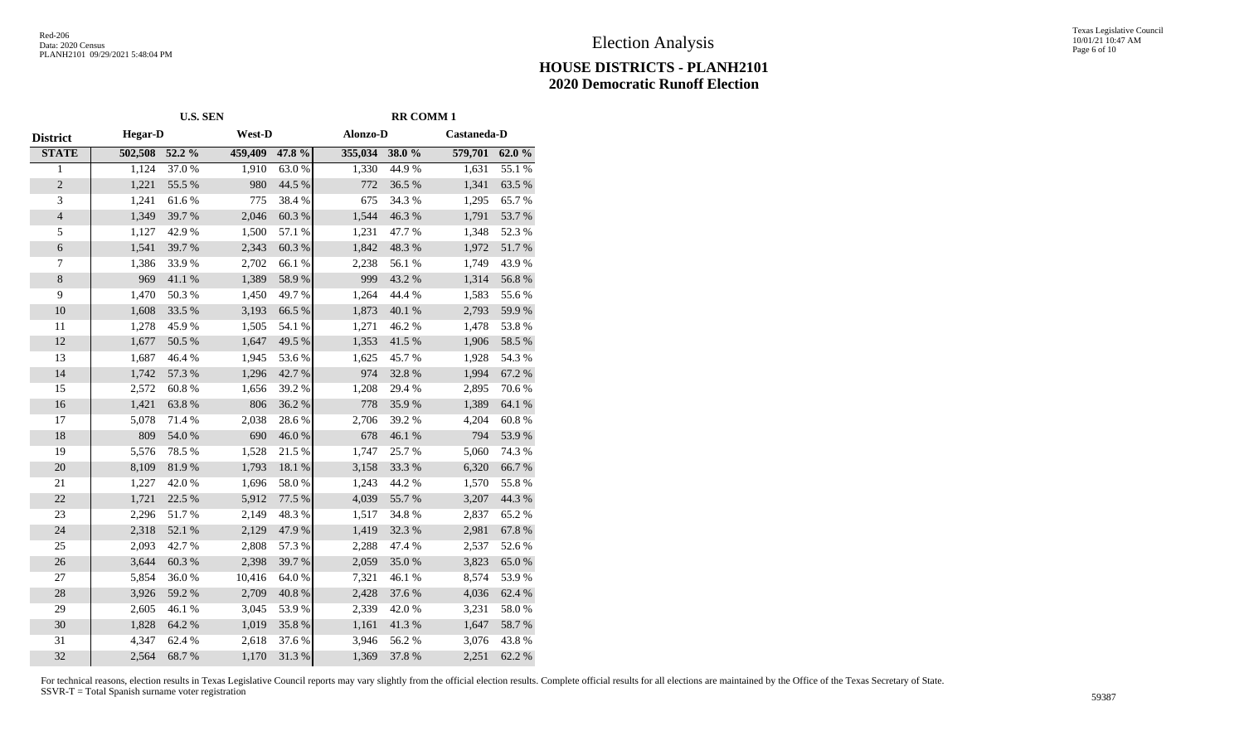#### Texas Legislative Council 10/01/21 10:47 AM Page 6 of 10

### **HOUSE DISTRICTS - PLANH2101 2020 Democratic Runoff Election**

|                  |                | <b>U.S. SEN</b> | <b>RR COMM1</b> |                  |                |           |             |            |
|------------------|----------------|-----------------|-----------------|------------------|----------------|-----------|-------------|------------|
| <b>District</b>  | <b>Hegar-D</b> |                 | West-D          |                  | Alonzo-D       |           | Castaneda-D |            |
| <b>STATE</b>     | 502,508 52.2 % |                 | 459,409         | 47.8 %           | 355,034 38.0 % |           | 579,701     | 62.0%      |
| $\mathbf{1}$     | 1,124          | 37.0 %          | 1,910           | 63.0%            | 1,330          | 44.9%     | 1,631       | 55.1 %     |
| $\sqrt{2}$       | 1,221          | 55.5 %          | 980             | 44.5 %           | 772            | 36.5 %    | 1,341       | 63.5 %     |
| 3                | 1,241          | 61.6%           | 775             | 38.4%            | 675            | 34.3 %    | 1,295       | 65.7%      |
| $\sqrt{4}$       | 1,349          | 39.7%           | 2,046           | 60.3%            | 1,544          | 46.3 %    | 1,791       | 53.7%      |
| $\sqrt{5}$       | 1,127          | 42.9%           | 1,500           | 57.1 %           | 1,231          | 47.7%     | 1,348       | 52.3 %     |
| $\sqrt{6}$       | 1,541          | 39.7%           | 2,343           | $60.3~\%$        | 1,842          | 48.3 %    | 1,972       | $51.7\ \%$ |
| $\boldsymbol{7}$ | 1,386          | 33.9%           | 2,702           | 66.1 %           | 2,238          | 56.1 %    | 1,749       | 43.9%      |
| $8\,$            | 969            | 41.1%           | 1,389           | 58.9%            | 999            | 43.2 %    | 1,314       | 56.8 %     |
| $\overline{9}$   | 1,470          | 50.3 %          | 1,450           | 49.7%            | 1,264          | 44.4 %    | 1,583       | 55.6%      |
| 10               | 1,608          | 33.5 %          | 3,193           | 66.5 %           | 1,873          | 40.1 %    | 2,793       | 59.9%      |
| 11               | 1,278          | 45.9%           | 1,505           | 54.1 %           | 1,271          | 46.2%     | 1,478       | 53.8%      |
| $12\,$           | 1,677          | 50.5 %          | 1,647           | 49.5 %           | 1,353          | 41.5 %    | 1,906       | 58.5 %     |
| 13               | 1,687          | 46.4 %          | 1,945           | 53.6%            | 1,625          | 45.7%     | 1,928       | 54.3%      |
| 14               | 1,742          | 57.3 %          | 1,296           | 42.7 %           | 974            | 32.8%     | 1,994       | 67.2 %     |
| 15               | 2,572          | $60.8~\%$       | 1,656           | 39.2 %           | 1,208          | 29.4 %    | 2,895       | 70.6 %     |
| 16               | 1,421          | 63.8%           | 806             | 36.2%            | 778            | 35.9%     | 1,389       | 64.1 %     |
| 17               | 5,078          | 71.4 %          | 2,038           | 28.6%            | 2,706          | 39.2 %    | 4,204       | $60.8~\%$  |
| $18\,$           | 809            | 54.0%           | 690             | 46.0%            | 678            | $46.1~\%$ | 794         | 53.9%      |
| 19               | 5,576          | 78.5 %          | 1,528           | 21.5 %           | 1,747          | 25.7 %    | 5,060       | 74.3 %     |
| $20\,$           | 8,109          | 81.9%           | 1,793           | $18.1\text{ }\%$ | 3,158          | 33.3 %    | 6,320       | 66.7%      |
| 21               | 1,227          | 42.0%           | 1,696           | 58.0%            | 1,243          | 44.2%     | 1,570       | 55.8%      |
| 22               | 1,721          | 22.5 %          | 5,912           | 77.5 %           | 4,039          | 55.7 %    | 3,207       | 44.3 %     |
| 23               | 2,296          | 51.7%           | 2,149           | 48.3%            | 1,517          | 34.8%     | 2,837       | 65.2%      |
| 24               | 2,318          | 52.1 %          | 2,129           | 47.9%            | 1,419          | 32.3 %    | 2,981       | 67.8 %     |
| 25               | 2,093          | 42.7%           | 2,808           | 57.3 %           | 2,288          | 47.4 %    | 2,537       | 52.6 %     |
| 26               | 3,644          | 60.3%           | 2,398           | 39.7%            | 2,059          | 35.0%     | 3,823       | 65.0%      |
| 27               | 5,854          | 36.0%           | 10,416          | 64.0%            | 7,321          | 46.1%     | 8,574       | 53.9%      |
| $28\,$           | 3,926          | 59.2 %          | 2,709           | $40.8~\%$        | 2,428          | 37.6 %    | 4,036       | 62.4 %     |
| 29               | 2,605          | 46.1%           | 3,045           | 53.9%            | 2,339          | 42.0%     | 3,231       | 58.0%      |
| 30               | 1,828          | 64.2 %          | 1,019           | 35.8 %           | 1,161          | 41.3%     | 1,647       | 58.7%      |
| 31               | 4,347          | 62.4 %          | 2,618           | 37.6%            | 3,946          | 56.2%     | 3,076       | 43.8%      |
| 32               | 2,564          | 68.7%           | 1,170           | 31.3%            | 1,369          | 37.8%     | 2,251       | 62.2%      |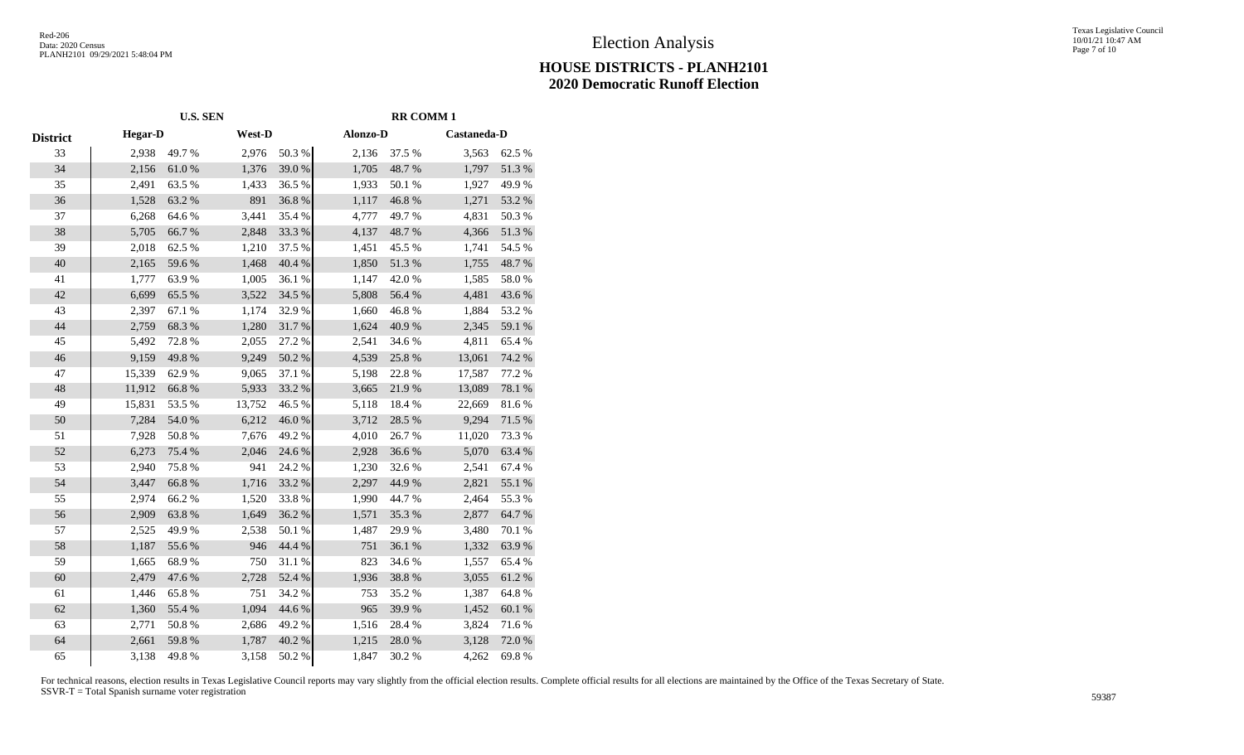# **HOUSE DISTRICTS - PLANH2101 2020 Democratic Runoff Election**

|                 | <b>U.S. SEN</b> |        |        | <b>RR COMM1</b> |          |            |             |           |
|-----------------|-----------------|--------|--------|-----------------|----------|------------|-------------|-----------|
| <b>District</b> | <b>Hegar-D</b>  |        | West-D |                 | Alonzo-D |            | Castaneda-D |           |
| 33              | 2,938           | 49.7%  | 2,976  | 50.3%           | 2,136    | 37.5 %     | 3,563       | 62.5 %    |
| 34              | 2,156           | 61.0%  | 1,376  | 39.0%           | 1,705    | 48.7%      | 1,797       | 51.3%     |
| 35              | 2,491           | 63.5%  | 1,433  | 36.5 %          | 1,933    | 50.1 %     | 1,927       | 49.9%     |
| 36              | 1,528           | 63.2%  | 891    | 36.8%           | 1,117    | 46.8 %     | 1,271       | 53.2 %    |
| 37              | 6,268           | 64.6%  | 3,441  | 35.4 %          | 4,777    | 49.7%      | 4,831       | 50.3%     |
| 38              | 5,705           | 66.7%  | 2,848  | 33.3%           | 4,137    | 48.7%      | 4,366       | 51.3%     |
| 39              | 2,018           | 62.5 % | 1,210  | 37.5 %          | 1,451    | 45.5 %     | 1,741       | 54.5 %    |
| 40              | 2,165           | 59.6%  | 1,468  | 40.4 %          | 1,850    | 51.3 %     | 1,755       | 48.7 %    |
| 41              | 1,777           | 63.9%  | 1,005  | 36.1%           | 1,147    | 42.0%      | 1,585       | 58.0%     |
| 42              | 6,699           | 65.5 % | 3,522  | 34.5 %          | 5,808    | 56.4 %     | 4,481       | 43.6%     |
| 43              | 2,397           | 67.1 % | 1,174  | 32.9%           | 1,660    | 46.8%      | 1,884       | 53.2%     |
| 44              | 2,759           | 68.3%  | 1,280  | $31.7\ \%$      | 1,624    | 40.9%      | 2,345       | 59.1 %    |
| 45              | 5,492           | 72.8%  | 2,055  | 27.2 %          | 2,541    | 34.6 %     | 4,811       | 65.4 %    |
| 46              | 9,159           | 49.8%  | 9,249  | 50.2 %          | 4,539    | 25.8 %     | 13,061      | 74.2 %    |
| 47              | 15,339          | 62.9%  | 9,065  | 37.1 %          | 5,198    | 22.8%      | 17,587      | 77.2 %    |
| 48              | 11,912          | 66.8%  | 5,933  | 33.2 %          | 3,665    | 21.9%      | 13,089      | 78.1 %    |
| 49              | 15,831          | 53.5 % | 13,752 | 46.5 %          | 5,118    | 18.4%      | 22,669      | 81.6%     |
| 50              | 7,284           | 54.0%  | 6,212  | 46.0%           | 3,712    | 28.5 %     | 9,294       | 71.5 %    |
| 51              | 7,928           | 50.8 % | 7,676  | 49.2%           | 4,010    | 26.7%      | 11,020      | 73.3 %    |
| 52              | 6,273           | 75.4 % | 2,046  | 24.6 %          | 2,928    | 36.6%      | 5,070       | 63.4 %    |
| 53              | 2,940           | 75.8%  | 941    | 24.2 %          | 1,230    | 32.6%      | 2,541       | 67.4 %    |
| 54              | 3,447           | 66.8%  | 1,716  | 33.2 %          | 2,297    | 44.9%      | 2,821       | 55.1 %    |
| 55              | 2,974           | 66.2%  | 1,520  | 33.8%           | 1,990    | 44.7%      | 2,464       | 55.3%     |
| 56              | 2,909           | 63.8%  | 1,649  | 36.2%           | 1,571    | 35.3%      | 2,877       | 64.7%     |
| 57              | 2,525           | 49.9%  | 2,538  | 50.1 %          | 1,487    | 29.9%      | 3,480       | 70.1 %    |
| 58              | 1,187           | 55.6%  | 946    | 44.4 %          | 751      | 36.1 %     | 1,332       | 63.9%     |
| 59              | 1,665           | 68.9%  | 750    | 31.1 %          | 823      | 34.6 %     | 1,557       | 65.4 %    |
| 60              | 2,479           | 47.6%  | 2,728  | 52.4 %          | 1,936    | 38.8 %     | 3,055       | 61.2%     |
| 61              | 1,446           | 65.8%  | 751    | 34.2 %          | 753      | 35.2 %     | 1,387       | 64.8%     |
| 62              | 1,360           | 55.4 % | 1,094  | 44.6 %          | 965      | 39.9%      | 1,452       | $60.1~\%$ |
| 63              | 2,771           | 50.8%  | 2,686  | 49.2%           | 1,516    | 28.4 %     | 3,824       | 71.6 %    |
| 64              | 2,661           | 59.8 % | 1,787  | 40.2 %          | 1,215    | $28.0\;\%$ | 3,128       | 72.0 %    |
| 65              | 3,138           | 49.8%  | 3,158  | $50.2~\%$       | 1,847    | 30.2 %     | 4,262       | 69.8%     |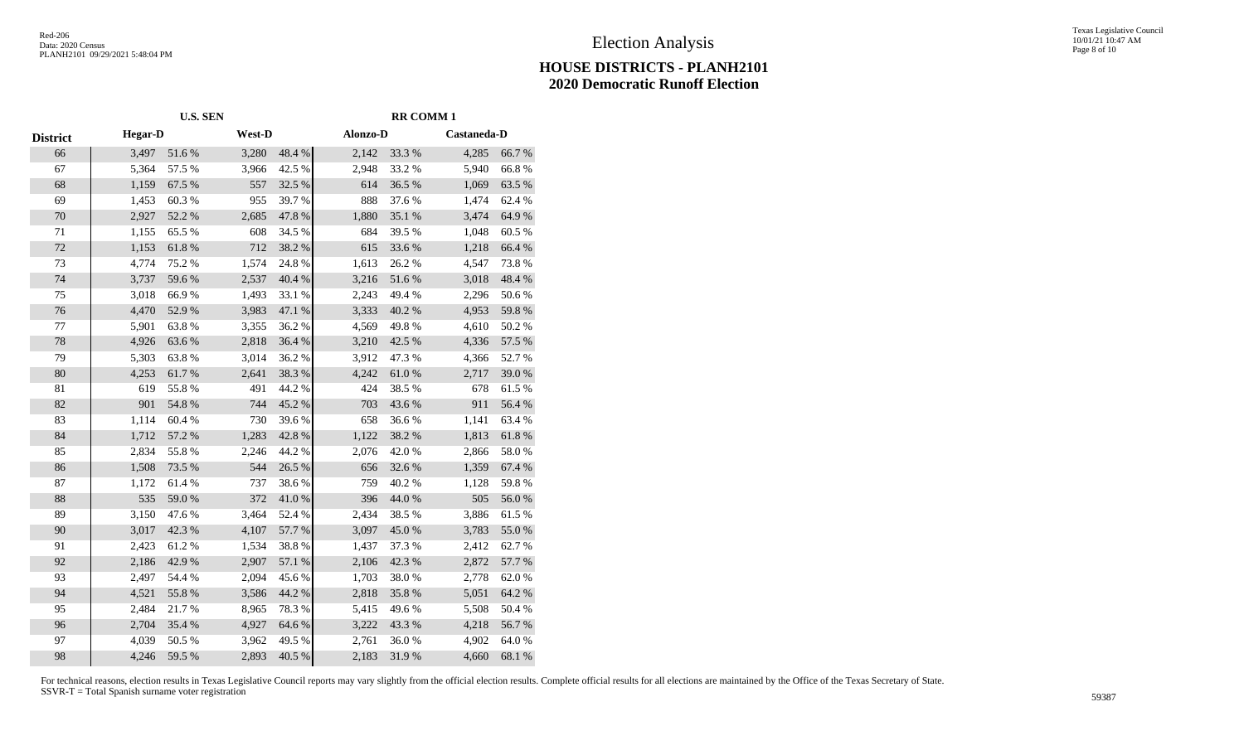## **HOUSE DISTRICTS - PLANH2101 2020 Democratic Runoff Election**

|          | <b>U.S. SEN</b> |        |        |           | <b>RR COMM1</b> |            |             |        |  |
|----------|-----------------|--------|--------|-----------|-----------------|------------|-------------|--------|--|
| District | <b>Hegar-D</b>  |        | West-D |           | Alonzo-D        |            | Castaneda-D |        |  |
| 66       | 3,497           | 51.6%  | 3,280  | 48.4 %    | 2,142           | 33.3 %     | 4,285       | 66.7%  |  |
| 67       | 5,364           | 57.5 % | 3,966  | 42.5 %    | 2,948           | 33.2 %     | 5,940       | 66.8%  |  |
| 68       | 1,159           | 67.5 % | 557    | 32.5 %    | 614             | 36.5%      | 1,069       | 63.5 % |  |
| 69       | 1,453           | 60.3%  | 955    | 39.7%     | 888             | 37.6%      | 1,474       | 62.4 % |  |
| 70       | 2,927           | 52.2 % | 2,685  | 47.8 %    | 1,880           | 35.1 %     | 3,474       | 64.9%  |  |
| 71       | 1,155           | 65.5 % | 608    | 34.5 %    | 684             | 39.5 %     | 1,048       | 60.5%  |  |
| $72\,$   | 1,153           | 61.8%  | 712    | 38.2 %    | 615             | 33.6%      | 1,218       | 66.4 % |  |
| 73       | 4,774           | 75.2 % | 1,574  | 24.8%     | 1,613           | 26.2%      | 4,547       | 73.8%  |  |
| 74       | 3,737           | 59.6%  | 2,537  | 40.4 %    | 3,216           | 51.6%      | 3,018       | 48.4%  |  |
| 75       | 3,018           | 66.9%  | 1,493  | 33.1 %    | 2,243           | 49.4 %     | 2,296       | 50.6%  |  |
| 76       | 4,470           | 52.9%  | 3,983  | 47.1 %    | 3,333           | 40.2 %     | 4,953       | 59.8 % |  |
| 77       | 5,901           | 63.8%  | 3,355  | 36.2%     | 4,569           | 49.8%      | 4,610       | 50.2%  |  |
| 78       | 4,926           | 63.6%  | 2,818  | 36.4 %    | 3,210           | 42.5 %     | 4,336       | 57.5 % |  |
| 79       | 5,303           | 63.8%  | 3,014  | 36.2%     | 3,912           | 47.3%      | 4,366       | 52.7 % |  |
| $80\,$   | 4,253           | 61.7%  | 2,641  | 38.3 %    | 4,242           | $61.0\ \%$ | 2,717       | 39.0%  |  |
| 81       | 619             | 55.8%  | 491    | 44.2 %    | 424             | 38.5 %     | 678         | 61.5%  |  |
| 82       | 901             | 54.8%  | 744    | 45.2%     | 703             | 43.6%      | 911         | 56.4 % |  |
| 83       | 1,114           | 60.4 % | 730    | 39.6%     | 658             | 36.6%      | 1,141       | 63.4 % |  |
| 84       | 1,712           | 57.2 % | 1,283  | 42.8 %    | 1,122           | 38.2%      | 1,813       | 61.8%  |  |
| 85       | 2,834           | 55.8%  | 2,246  | 44.2 %    | 2,076           | 42.0%      | 2,866       | 58.0%  |  |
| 86       | 1,508           | 73.5 % | 544    | 26.5 %    | 656             | 32.6 %     | 1,359       | 67.4 % |  |
| 87       | 1,172           | 61.4%  | 737    | 38.6%     | 759             | 40.2%      | 1,128       | 59.8%  |  |
| 88       | 535             | 59.0%  | 372    | 41.0%     | 396             | 44.0%      | 505         | 56.0%  |  |
| 89       | 3,150           | 47.6%  | 3,464  | 52.4 %    | 2,434           | 38.5%      | 3,886       | 61.5%  |  |
| 90       | 3,017           | 42.3 % | 4,107  | 57.7 %    | 3,097           | 45.0%      | 3,783       | 55.0%  |  |
| 91       | 2,423           | 61.2%  | 1,534  | 38.8%     | 1,437           | 37.3 %     | 2,412       | 62.7%  |  |
| 92       | 2,186           | 42.9%  | 2,907  | 57.1 %    | 2,106           | 42.3 %     | 2,872       | 57.7 % |  |
| 93       | 2,497           | 54.4 % | 2,094  | 45.6%     | 1,703           | 38.0%      | 2,778       | 62.0%  |  |
| 94       | 4,521           | 55.8 % | 3,586  | 44.2 %    | 2,818           | 35.8%      | 5,051       | 64.2 % |  |
| 95       | 2,484           | 21.7%  | 8,965  | 78.3%     | 5,415           | 49.6%      | 5,508       | 50.4 % |  |
| 96       | 2,704           | 35.4 % | 4,927  | 64.6 %    | 3,222           | 43.3 %     | 4,218       | 56.7%  |  |
| 97       | 4,039           | 50.5 % | 3,962  | 49.5 %    | 2,761           | 36.0%      | 4,902       | 64.0%  |  |
| 98       | 4,246           | 59.5 % | 2,893  | $40.5~\%$ | 2,183           | 31.9%      | 4,660       | 68.1 % |  |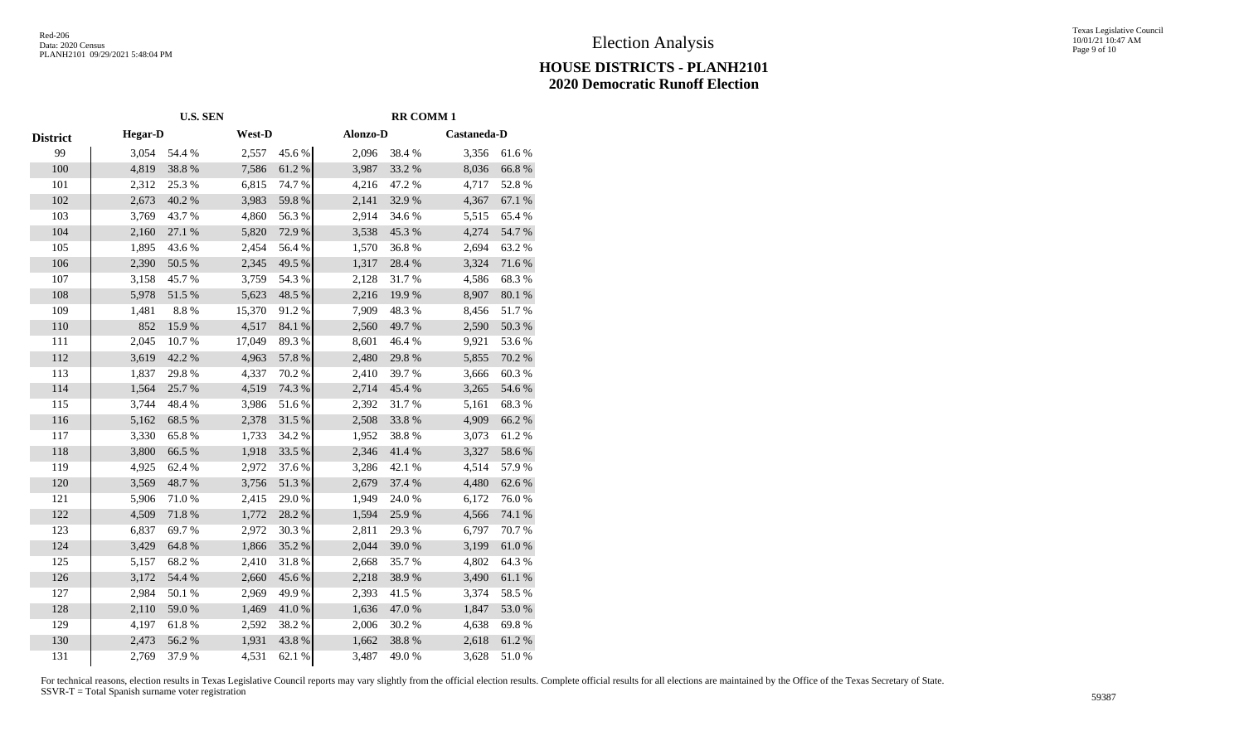## **HOUSE DISTRICTS - PLANH2101 2020 Democratic Runoff Election**

|                 | <b>U.S. SEN</b> |        |        | <b>RR COMM1</b> |          |        |             |                  |
|-----------------|-----------------|--------|--------|-----------------|----------|--------|-------------|------------------|
| <b>District</b> | <b>Hegar-D</b>  |        | West-D |                 | Alonzo-D |        | Castaneda-D |                  |
| 99              | 3,054           | 54.4 % | 2,557  | 45.6%           | 2,096    | 38.4%  | 3,356       | 61.6%            |
| 100             | 4,819           | 38.8%  | 7,586  | 61.2%           | 3,987    | 33.2 % | 8,036       | 66.8%            |
| 101             | 2,312           | 25.3 % | 6,815  | 74.7 %          | 4,216    | 47.2 % | 4,717       | 52.8%            |
| 102             | 2,673           | 40.2%  | 3,983  | 59.8%           | 2,141    | 32.9%  | 4,367       | 67.1 %           |
| 103             | 3,769           | 43.7%  | 4,860  | 56.3%           | 2,914    | 34.6%  | 5,515       | 65.4 %           |
| 104             | 2,160           | 27.1 % | 5,820  | 72.9%           | 3,538    | 45.3%  | 4,274       | 54.7%            |
| 105             | 1,895           | 43.6%  | 2,454  | 56.4 %          | 1,570    | 36.8%  | 2,694       | 63.2%            |
| 106             | 2,390           | 50.5 % | 2,345  | 49.5 %          | 1,317    | 28.4 % | 3,324       | 71.6%            |
| 107             | 3,158           | 45.7%  | 3,759  | 54.3 %          | 2,128    | 31.7%  | 4,586       | 68.3%            |
| 108             | 5,978           | 51.5 % | 5,623  | 48.5 %          | 2,216    | 19.9%  | 8,907       | $80.1~\%$        |
| 109             | 1,481           | 8.8 %  | 15,370 | 91.2%           | 7,909    | 48.3%  | 8,456       | 51.7%            |
| 110             | 852             | 15.9%  | 4,517  | 84.1 %          | 2,560    | 49.7%  | 2,590       | 50.3 %           |
| 111             | 2,045           | 10.7%  | 17,049 | 89.3%           | 8,601    | 46.4%  | 9,921       | 53.6%            |
| 112             | 3,619           | 42.2 % | 4,963  | 57.8 %          | 2,480    | 29.8%  | 5,855       | 70.2 %           |
| 113             | 1,837           | 29.8%  | 4,337  | 70.2 %          | 2,410    | 39.7%  | 3,666       | 60.3%            |
| 114             | 1,564           | 25.7%  | 4,519  | 74.3 %          | 2,714    | 45.4 % | 3,265       | 54.6 %           |
| 115             | 3,744           | 48.4%  | 3,986  | 51.6 %          | 2,392    | 31.7%  | 5,161       | 68.3%            |
| 116             | 5,162           | 68.5 % | 2,378  | 31.5 %          | 2,508    | 33.8%  | 4,909       | 66.2%            |
| 117             | 3,330           | 65.8%  | 1,733  | 34.2 %          | 1,952    | 38.8%  | 3,073       | 61.2%            |
| 118             | 3,800           | 66.5 % | 1,918  | 33.5 %          | 2,346    | 41.4%  | 3,327       | 58.6%            |
| 119             | 4,925           | 62.4 % | 2,972  | 37.6 %          | 3,286    | 42.1 % | 4,514       | 57.9%            |
| 120             | 3,569           | 48.7%  | 3,756  | 51.3 %          | 2,679    | 37.4 % | 4,480       | 62.6%            |
| 121             | 5,906           | 71.0%  | 2,415  | 29.0%           | 1,949    | 24.0%  | 6,172       | 76.0%            |
| 122             | 4,509           | 71.8%  | 1,772  | 28.2 %          | 1,594    | 25.9%  | 4,566       | 74.1 %           |
| 123             | 6,837           | 69.7%  | 2,972  | 30.3%           | 2,811    | 29.3 % | 6,797       | 70.7%            |
| 124             | 3,429           | 64.8%  | 1,866  | 35.2%           | 2,044    | 39.0%  | 3,199       | $61.0\ \%$       |
| 125             | 5,157           | 68.2%  | 2,410  | 31.8%           | 2,668    | 35.7%  | 4,802       | 64.3%            |
| 126             | 3,172           | 54.4 % | 2,660  | 45.6%           | 2,218    | 38.9%  | 3,490       | $61.1\text{ }\%$ |
| 127             | 2,984           | 50.1 % | 2,969  | 49.9%           | 2,393    | 41.5%  | 3,374       | 58.5 %           |
| 128             | 2,110           | 59.0%  | 1,469  | 41.0%           | 1,636    | 47.0%  | 1,847       | 53.0%            |
| 129             | 4,197           | 61.8%  | 2,592  | 38.2%           | 2,006    | 30.2 % | 4,638       | 69.8%            |
| 130             | 2,473           | 56.2%  | 1,931  | 43.8%           | 1,662    | 38.8 % | 2,618       | 61.2%            |
| 131             | 2,769           | 37.9%  | 4,531  | 62.1 %          | 3,487    | 49.0%  | 3,628       | 51.0%            |